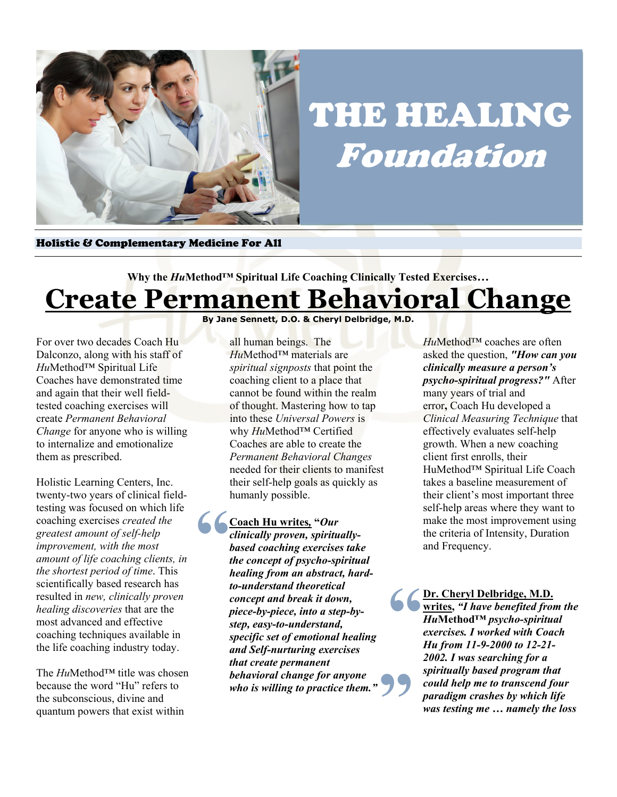

## THE HEALING Foundation

Holistic & Complementary Medicine For All

## **Why the** *Hu***Method™ Spiritual Life Coaching Clinically Tested Exercises… Create Permanent Behavioral Change**

For over two decades Coach Hu Dalconzo, along with his staff of *Hu*Method™ Spiritual Life Coaches have demonstrated time and again that their well fieldtested coaching exercises will create *Permanent Behavioral Change* for anyone who is willing to internalize and emotionalize them as prescribed.

Holistic Learning Centers, Inc. twenty-two years of clinical fieldtesting was focused on which life coaching exercises *created the greatest amount of self-help improvement, with the most amount of life coaching clients, in the shortest period of time*. This scientifically based research has resulted in *new, clinically proven healing discoveries* that are the most advanced and effective coaching techniques available in the life coaching industry today.

The *Hu*Method™ title was chosen because the word "Hu" refers to the subconscious, divine and quantum powers that exist within

**By Jane Sennett, D.O. & Cheryl Delbridge, M.D.**

all human beings. The *Hu*Method™ materials are *spiritual signposts* that point the coaching client to a place that cannot be found within the realm of thought. Mastering how to tap into these *Universal Powers* is why *Hu*Method™ Certified Coaches are able to create the *Permanent Behavioral Changes* needed for their clients to manifest their self-help goals as quickly as humanly possible.

**6**  $\frac{Coa}{clini}$ <br>
base<br>
the c **" Coach Hu writes***,* **"***Our clinically proven, spirituallybased coaching exercises take the concept of psycho-spiritual healing from an abstract, hardto-understand theoretical concept and break it down, piece-by-piece, into a step-bystep, easy-to-understand, specific set of emotional healing and Self-nurturing exercises that create permanent behavioral change for anyone who is willing to practice them."*

*Hu*Method™ coaches are often asked the question, *"How can you clinically measure a person's psycho-spiritual progress?"* After many years of trial and error**,** Coach Hu developed a *Clinical Measuring Technique* that effectively evaluates self-help growth. When a new coaching client first enrolls, their HuMethod™ Spiritual Life Coach takes a baseline measurement of their client's most important three self-help areas where they want to make the most improvement using the criteria of Intensity, Duration and Frequency.

**Dr. Cheryl Delbridge, M.D. writes,** *"I have benefited from the Hu***Method™** *psycho-spiritual exercises. I worked with Coach Hu from 11-9-2000 to 12-21- 2002. I was searching for a spiritually based program that could help me to transcend four paradigm crashes by which life was testing me … namely the loss*  **"**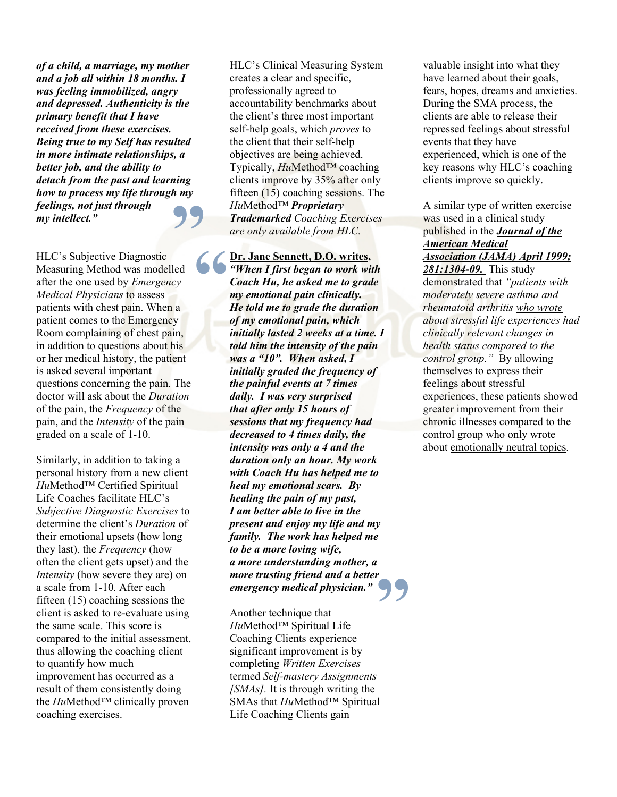*of a child, a marriage, my mother and a job all within 18 months. I was feeling immobilized, angry and depressed. Authenticity is the primary benefit that I have received from these exercises. Being true to my Self has resulted in more intimate relationships, a better job, and the ability to detach from the past and learning how to process my life through my feelings, not just through my intellect."*

HLC's Subjective Diagnostic Measuring Method was modelled after the one used by *Emergency Medical Physicians* to assess patients with chest pain. When a patient comes to the Emergency Room complaining of chest pain, in addition to questions about his or her medical history, the patient is asked several important questions concerning the pain. The doctor will ask about the *Duration* of the pain, the *Frequency* of the pain, and the *Intensity* of the pain graded on a scale of 1-10. **99** Hul<br> *Tra*<br> *are*<br>
led  $\begin{cases} \frac{\mathbf{D}\mathbf{r}}{q} \\ \frac{\mathbf{C}\mathbf{y}}{q} \end{cases}$ <br> *cy*<br> **a** He

Similarly, in addition to taking a personal history from a new client *Hu*Method™ Certified Spiritual Life Coaches facilitate HLC's *Subjective Diagnostic Exercises* to determine the client's *Duration* of their emotional upsets (how long they last), the *Frequency* (how often the client gets upset) and the *Intensity* (how severe they are) on a scale from 1-10. After each fifteen (15) coaching sessions the client is asked to re-evaluate using the same scale. This score is compared to the initial assessment, thus allowing the coaching client to quantify how much improvement has occurred as a result of them consistently doing the *Hu*Method™ clinically proven coaching exercises.

HLC's Clinical Measuring System creates a clear and specific, professionally agreed to accountability benchmarks about the client's three most important self-help goals, which *proves* to the client that their self-help objectives are being achieved. Typically, *Hu*Method™ coaching clients improve by 35% after only fifteen (15) coaching sessions. The *Hu*Method™ *Proprietary Trademarked Coaching Exercises are only available from HLC.*

**Dr. Jane Sennett, D.O. writes,**  *"When I first began to work with Coach Hu, he asked me to grade my emotional pain clinically. He told me to grade the duration of my emotional pain, which initially lasted 2 weeks at a time. I told him the intensity of the pain was a "10". When asked, I initially graded the frequency of the painful events at 7 times daily. I was very surprised that after only 15 hours of sessions that my frequency had decreased to 4 times daily, the intensity was only a 4 and the duration only an hour. My work with Coach Hu has helped me to heal my emotional scars. By healing the pain of my past, I am better able to live in the present and enjoy my life and my family. The work has helped me to be a more loving wife, a more understanding mother, a more trusting friend and a better emergency medical physician."* **"**

Another technique that *Hu*Method™ Spiritual Life Coaching Clients experience significant improvement is by completing *Written Exercises* termed *Self-mastery Assignments [SMAs].* It is through writing the SMAs that *Hu*Method™ Spiritual Life Coaching Clients gain

valuable insight into what they have learned about their goals, fears, hopes, dreams and anxieties. During the SMA process, the clients are able to release their repressed feelings about stressful events that they have experienced, which is one of the key reasons why HLC's coaching clients improve so quickly.

A similar type of written exercise was used in a clinical study published in the *Journal of the American Medical Association (JAMA) April 1999; 281:1304-09.* This study demonstrated that *"patients with moderately severe asthma and rheumatoid arthritis who wrote about stressful life experiences had clinically relevant changes in health status compared to the control group."* By allowing themselves to express their feelings about stressful experiences, these patients showed greater improvement from their chronic illnesses compared to the control group who only wrote about emotionally neutral topics.